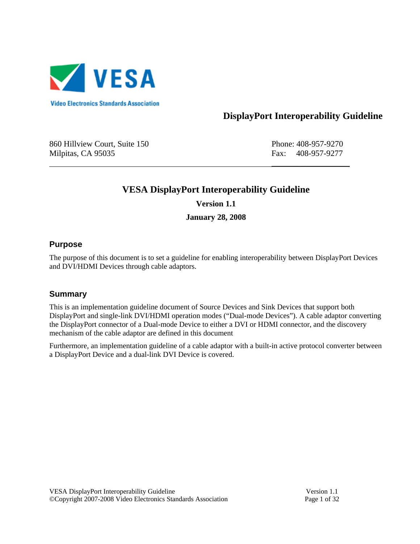

# **DisplayPort Interoperability Guideline**

860 Hillview Court, Suite 150 Phone: 408-957-9270 Milpitas, CA 95035 **Fax: 408-957-9277** 

# **VESA DisplayPort Interoperability Guideline Version 1.1**

 $\overline{\phantom{a}}$  , which is a set of the set of the set of the set of the set of the set of the set of the set of the set of the set of the set of the set of the set of the set of the set of the set of the set of the set of th

**January 28, 2008** 

### **Purpose**

The purpose of this document is to set a guideline for enabling interoperability between DisplayPort Devices and DVI/HDMI Devices through cable adaptors.

### **Summary**

This is an implementation guideline document of Source Devices and Sink Devices that support both DisplayPort and single-link DVI/HDMI operation modes ("Dual-mode Devices"). A cable adaptor converting the DisplayPort connector of a Dual-mode Device to either a DVI or HDMI connector, and the discovery mechanism of the cable adaptor are defined in this document

Furthermore, an implementation guideline of a cable adaptor with a built-in active protocol converter between a DisplayPort Device and a dual-link DVI Device is covered.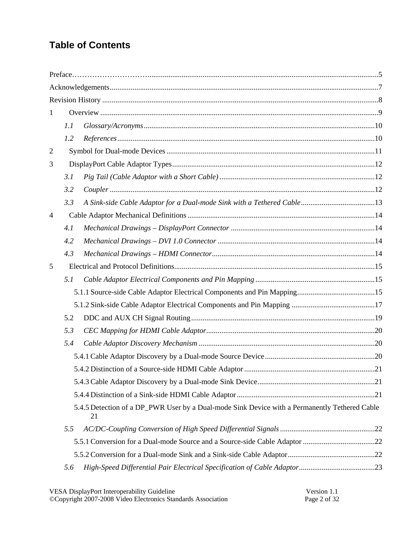# **Table of Contents**

| $\mathbf{1}$   |     |                                                                                                     |  |  |  |  |  |  |  |
|----------------|-----|-----------------------------------------------------------------------------------------------------|--|--|--|--|--|--|--|
|                | 1.1 |                                                                                                     |  |  |  |  |  |  |  |
|                | 1.2 | $References \dots 10$                                                                               |  |  |  |  |  |  |  |
| $\overline{2}$ |     |                                                                                                     |  |  |  |  |  |  |  |
| 3              |     |                                                                                                     |  |  |  |  |  |  |  |
|                | 3.1 |                                                                                                     |  |  |  |  |  |  |  |
|                | 3.2 |                                                                                                     |  |  |  |  |  |  |  |
|                | 3.3 |                                                                                                     |  |  |  |  |  |  |  |
| $\overline{4}$ |     |                                                                                                     |  |  |  |  |  |  |  |
|                | 4.1 |                                                                                                     |  |  |  |  |  |  |  |
|                | 4.2 |                                                                                                     |  |  |  |  |  |  |  |
|                | 4.3 |                                                                                                     |  |  |  |  |  |  |  |
| 5              |     |                                                                                                     |  |  |  |  |  |  |  |
|                | 5.1 |                                                                                                     |  |  |  |  |  |  |  |
|                |     |                                                                                                     |  |  |  |  |  |  |  |
|                |     |                                                                                                     |  |  |  |  |  |  |  |
|                | 5.2 |                                                                                                     |  |  |  |  |  |  |  |
|                | 5.3 |                                                                                                     |  |  |  |  |  |  |  |
|                | 5.4 |                                                                                                     |  |  |  |  |  |  |  |
|                |     |                                                                                                     |  |  |  |  |  |  |  |
|                |     |                                                                                                     |  |  |  |  |  |  |  |
|                |     |                                                                                                     |  |  |  |  |  |  |  |
|                |     |                                                                                                     |  |  |  |  |  |  |  |
|                |     | 5.4.5 Detection of a DP_PWR User by a Dual-mode Sink Device with a Permanently Tethered Cable<br>21 |  |  |  |  |  |  |  |
|                | 5.5 |                                                                                                     |  |  |  |  |  |  |  |
|                |     |                                                                                                     |  |  |  |  |  |  |  |
|                |     |                                                                                                     |  |  |  |  |  |  |  |
|                | 5.6 |                                                                                                     |  |  |  |  |  |  |  |

| VESA DisplayPort Interoperability Guideline                  | Version 1.1  |
|--------------------------------------------------------------|--------------|
| ©Copyright 2007-2008 Video Electronics Standards Association | Page 2 of 32 |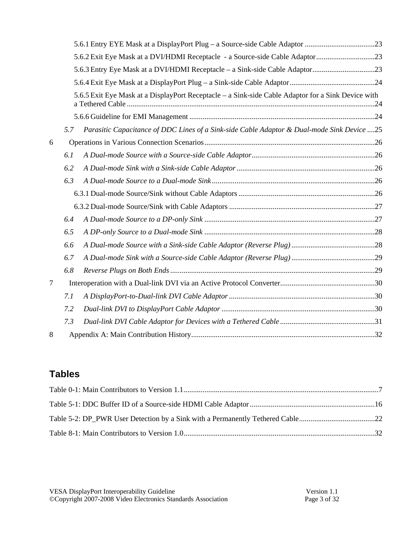|   |     | 5.6.3 Entry Eye Mask at a DVI/HDMI Receptacle - a Sink-side Cable Adaptor23                        |  |  |  |  |  |
|---|-----|----------------------------------------------------------------------------------------------------|--|--|--|--|--|
|   |     |                                                                                                    |  |  |  |  |  |
|   |     | 5.6.5 Exit Eye Mask at a DisplayPort Receptacle – a Sink-side Cable Adaptor for a Sink Device with |  |  |  |  |  |
|   |     |                                                                                                    |  |  |  |  |  |
|   | 5.7 | Parasitic Capacitance of DDC Lines of a Sink-side Cable Adaptor & Dual-mode Sink Device 25         |  |  |  |  |  |
| 6 |     |                                                                                                    |  |  |  |  |  |
|   | 6.1 |                                                                                                    |  |  |  |  |  |
|   | 6.2 |                                                                                                    |  |  |  |  |  |
|   | 6.3 |                                                                                                    |  |  |  |  |  |
|   |     |                                                                                                    |  |  |  |  |  |
|   |     |                                                                                                    |  |  |  |  |  |
|   | 6.4 |                                                                                                    |  |  |  |  |  |
|   | 6.5 |                                                                                                    |  |  |  |  |  |
|   | 6.6 |                                                                                                    |  |  |  |  |  |
|   | 6.7 |                                                                                                    |  |  |  |  |  |
|   | 6.8 |                                                                                                    |  |  |  |  |  |
| 7 |     |                                                                                                    |  |  |  |  |  |
|   | 7.1 |                                                                                                    |  |  |  |  |  |
|   | 7.2 |                                                                                                    |  |  |  |  |  |
|   | 7.3 |                                                                                                    |  |  |  |  |  |
| 8 |     |                                                                                                    |  |  |  |  |  |

# **Tables**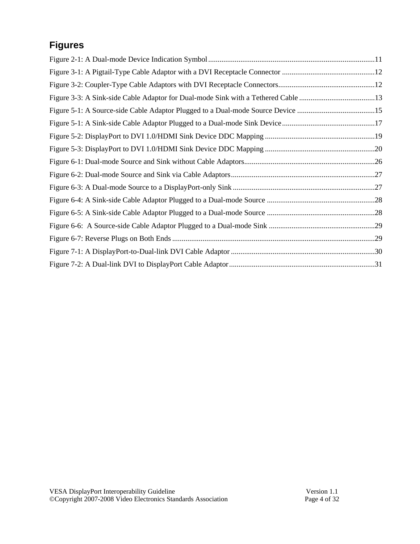# **Figures**

| Figure 5-1: A Source-side Cable Adaptor Plugged to a Dual-mode Source Device 15 |  |
|---------------------------------------------------------------------------------|--|
|                                                                                 |  |
|                                                                                 |  |
|                                                                                 |  |
|                                                                                 |  |
|                                                                                 |  |
|                                                                                 |  |
|                                                                                 |  |
|                                                                                 |  |
|                                                                                 |  |
|                                                                                 |  |
|                                                                                 |  |
|                                                                                 |  |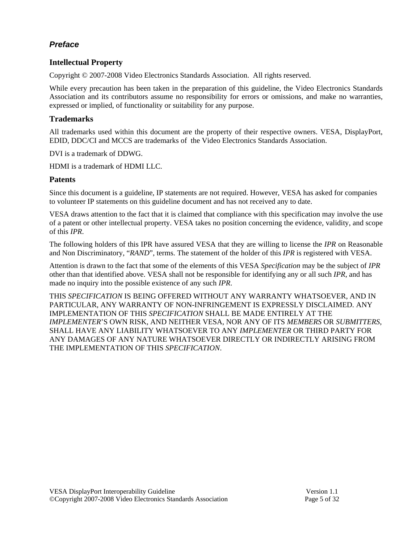## *Preface*

### **Intellectual Property**

Copyright © 2007-2008 Video Electronics Standards Association. All rights reserved.

While every precaution has been taken in the preparation of this guideline, the Video Electronics Standards Association and its contributors assume no responsibility for errors or omissions, and make no warranties, expressed or implied, of functionality or suitability for any purpose.

#### **Trademarks**

All trademarks used within this document are the property of their respective owners. VESA, DisplayPort, EDID, DDC/CI and MCCS are trademarks of the Video Electronics Standards Association.

DVI is a trademark of DDWG.

HDMI is a trademark of HDMI LLC.

#### **Patents**

Since this document is a guideline, IP statements are not required. However, VESA has asked for companies to volunteer IP statements on this guideline document and has not received any to date.

VESA draws attention to the fact that it is claimed that compliance with this specification may involve the use of a patent or other intellectual property. VESA takes no position concerning the evidence, validity, and scope of this *IPR*.

The following holders of this IPR have assured VESA that they are willing to license the *IPR* on Reasonable and Non Discriminatory, "*RAND*", terms. The statement of the holder of this *IPR* is registered with VESA.

Attention is drawn to the fact that some of the elements of this VESA *Specification* may be the subject of *IPR* other than that identified above. VESA shall not be responsible for identifying any or all such *IPR*, and has made no inquiry into the possible existence of any such *IPR*.

THIS *SPECIFICATION* IS BEING OFFERED WITHOUT ANY WARRANTY WHATSOEVER, AND IN PARTICULAR, ANY WARRANTY OF NON-INFRINGEMENT IS EXPRESSLY DISCLAIMED. ANY IMPLEMENTATION OF THIS *SPECIFICATION* SHALL BE MADE ENTIRELY AT THE *IMPLEMENTER*'S OWN RISK, AND NEITHER VESA, NOR ANY OF ITS *MEMBERS* OR *SUBMITTERS*, SHALL HAVE ANY LIABILITY WHATSOEVER TO ANY *IMPLEMENTER* OR THIRD PARTY FOR ANY DAMAGES OF ANY NATURE WHATSOEVER DIRECTLY OR INDIRECTLY ARISING FROM THE IMPLEMENTATION OF THIS *SPECIFICATION*.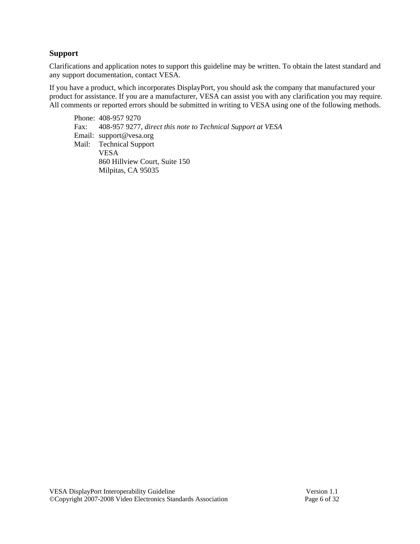#### **Support**

Clarifications and application notes to support this guideline may be written. To obtain the latest standard and any support documentation, contact VESA.

If you have a product, which incorporates DisplayPort, you should ask the company that manufactured your product for assistance. If you are a manufacturer, VESA can assist you with any clarification you may require. All comments or reported errors should be submitted in writing to VESA using one of the following methods.

Phone: 408-957 9270 Fax: 408-957 9277, *direct this note to Technical Support at VESA* Email: support@vesa.org Mail: Technical Support VESA 860 Hillview Court, Suite 150 Milpitas, CA 95035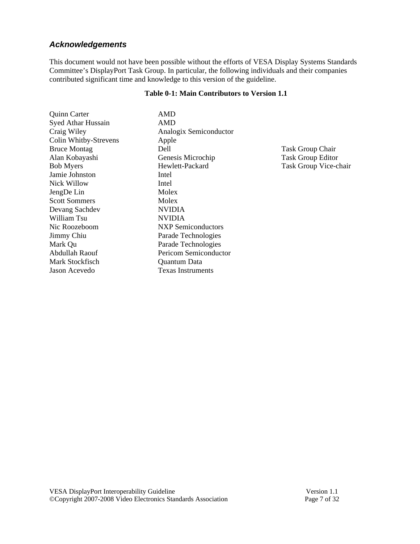### *Acknowledgements*

This document would not have been possible without the efforts of VESA Display Systems Standards Committee's DisplayPort Task Group. In particular, the following individuals and their companies contributed significant time and knowledge to this version of the guideline.

#### **Table 0-1: Main Contributors to Version 1.1**

| <b>Quinn Carter</b>       | AMD                       |
|---------------------------|---------------------------|
| <b>Syed Athar Hussain</b> | AMD                       |
| Craig Wiley               | Analogix Semiconductor    |
| Colin Whitby-Strevens     | Apple                     |
| <b>Bruce Montag</b>       | Dell                      |
| Alan Kobayashi            | Genesis Microchip         |
| <b>Bob Myers</b>          | Hewlett-Packard           |
| Jamie Johnston            | Intel                     |
| <b>Nick Willow</b>        | Intel                     |
| JengDe Lin                | Molex                     |
| <b>Scott Sommers</b>      | Molex                     |
| Devang Sachdev            | <b>NVIDIA</b>             |
| William Tsu               | <b>NVIDIA</b>             |
| Nic Roozeboom             | <b>NXP</b> Semiconductors |
| Jimmy Chiu                | Parade Technologies       |
| Mark Qu                   | Parade Technologies       |
| Abdullah Raouf            | Pericom Semiconductor     |
| Mark Stockfisch           | Quantum Data              |
| Jason Acevedo             | Texas Instruments         |

Task Group Chair Alan Kobayashi Task Group Editor Task Group Vice-chair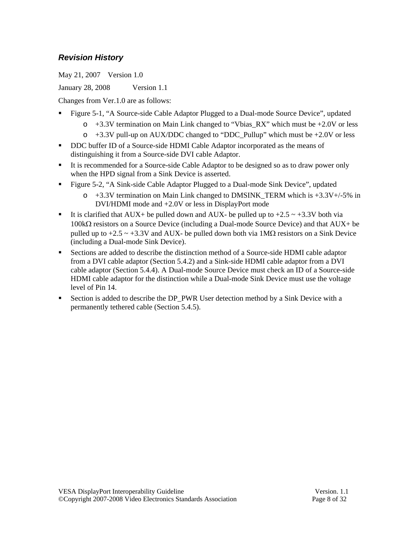## *Revision History*

May 21, 2007 Version 1.0

January 28, 2008 Version 1.1

Changes from Ver.1.0 are as follows:

- Figure 5-1, "A Source-side Cable Adaptor Plugged to a Dual-mode Source Device", updated
	- o +3.3V termination on Main Link changed to "Vbias\_RX" which must be +2.0V or less
	- $\circ$  +3.3V pull-up on AUX/DDC changed to "DDC\_Pullup" which must be +2.0V or less
- DDC buffer ID of a Source-side HDMI Cable Adaptor incorporated as the means of distinguishing it from a Source-side DVI cable Adaptor.
- It is recommended for a Source-side Cable Adaptor to be designed so as to draw power only when the HPD signal from a Sink Device is asserted.
- Figure 5-2, "A Sink-side Cable Adaptor Plugged to a Dual-mode Sink Device", updated
	- $\circ$  +3.3V termination on Main Link changed to DMSINK TERM which is +3.3V+/-5% in DVI/HDMI mode and +2.0V or less in DisplayPort mode
- It is clarified that AUX+ be pulled down and AUX- be pulled up to  $+2.5 \sim +3.3V$  both via 100kΩ resistors on a Source Device (including a Dual-mode Source Device) and that AUX+ be pulled up to  $+2.5 \sim +3.3V$  and AUX- be pulled down both via  $1M\Omega$  resistors on a Sink Device (including a Dual-mode Sink Device).
- Sections are added to describe the distinction method of a Source-side HDMI cable adaptor from a DVI cable adaptor (Section 5.4.2) and a Sink-side HDMI cable adaptor from a DVI cable adaptor (Section 5.4.4). A Dual-mode Source Device must check an ID of a Source-side HDMI cable adaptor for the distinction while a Dual-mode Sink Device must use the voltage level of Pin 14.
- Section is added to describe the DP\_PWR User detection method by a Sink Device with a permanently tethered cable (Section 5.4.5).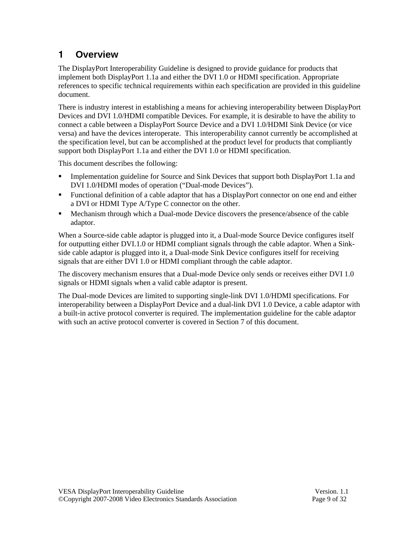# **1 Overview**

The DisplayPort Interoperability Guideline is designed to provide guidance for products that implement both DisplayPort 1.1a and either the DVI 1.0 or HDMI specification. Appropriate references to specific technical requirements within each specification are provided in this guideline document.

There is industry interest in establishing a means for achieving interoperability between DisplayPort Devices and DVI 1.0/HDMI compatible Devices. For example, it is desirable to have the ability to connect a cable between a DisplayPort Source Device and a DVI 1.0/HDMI Sink Device (or vice versa) and have the devices interoperate. This interoperability cannot currently be accomplished at the specification level, but can be accomplished at the product level for products that compliantly support both DisplayPort 1.1a and either the DVI 1.0 or HDMI specification.

This document describes the following:

- Implementation guideline for Source and Sink Devices that support both DisplayPort 1.1a and DVI 1.0/HDMI modes of operation ("Dual-mode Devices").
- Functional definition of a cable adaptor that has a DisplayPort connector on one end and either a DVI or HDMI Type A/Type C connector on the other.
- **Mechanism through which a Dual-mode Device discovers the presence/absence of the cable** adaptor.

When a Source-side cable adaptor is plugged into it, a Dual-mode Source Device configures itself for outputting either DVI.1.0 or HDMI compliant signals through the cable adaptor. When a Sinkside cable adaptor is plugged into it, a Dual-mode Sink Device configures itself for receiving signals that are either DVI 1.0 or HDMI compliant through the cable adaptor.

The discovery mechanism ensures that a Dual-mode Device only sends or receives either DVI 1.0 signals or HDMI signals when a valid cable adaptor is present.

The Dual-mode Devices are limited to supporting single-link DVI 1.0/HDMI specifications. For interoperability between a DisplayPort Device and a dual-link DVI 1.0 Device, a cable adaptor with a built-in active protocol converter is required. The implementation guideline for the cable adaptor with such an active protocol converter is covered in Section 7 of this document.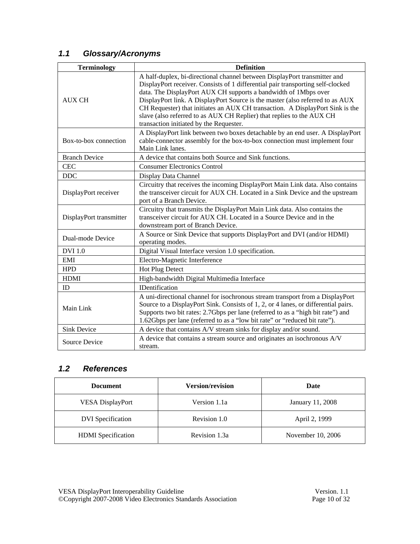# *1.1 Glossary/Acronyms*

| <b>Terminology</b>      | <b>Definition</b>                                                                                                                                                                                                                                                                                                                                                                                                                                                                                                     |  |  |  |  |  |
|-------------------------|-----------------------------------------------------------------------------------------------------------------------------------------------------------------------------------------------------------------------------------------------------------------------------------------------------------------------------------------------------------------------------------------------------------------------------------------------------------------------------------------------------------------------|--|--|--|--|--|
| <b>AUX CH</b>           | A half-duplex, bi-directional channel between DisplayPort transmitter and<br>DisplayPort receiver. Consists of 1 differential pair transporting self-clocked<br>data. The DisplayPort AUX CH supports a bandwidth of 1Mbps over<br>DisplayPort link. A DisplayPort Source is the master (also referred to as AUX<br>CH Requester) that initiates an AUX CH transaction. A DisplayPort Sink is the<br>slave (also referred to as AUX CH Replier) that replies to the AUX CH<br>transaction initiated by the Requester. |  |  |  |  |  |
| Box-to-box connection   | A DisplayPort link between two boxes detachable by an end user. A DisplayPort<br>cable-connector assembly for the box-to-box connection must implement four<br>Main Link lanes.                                                                                                                                                                                                                                                                                                                                       |  |  |  |  |  |
| <b>Branch Device</b>    | A device that contains both Source and Sink functions.                                                                                                                                                                                                                                                                                                                                                                                                                                                                |  |  |  |  |  |
| <b>CEC</b>              | <b>Consumer Electronics Control</b>                                                                                                                                                                                                                                                                                                                                                                                                                                                                                   |  |  |  |  |  |
| DDC                     | Display Data Channel                                                                                                                                                                                                                                                                                                                                                                                                                                                                                                  |  |  |  |  |  |
| DisplayPort receiver    | Circuitry that receives the incoming DisplayPort Main Link data. Also contains<br>the transceiver circuit for AUX CH. Located in a Sink Device and the upstream<br>port of a Branch Device.                                                                                                                                                                                                                                                                                                                           |  |  |  |  |  |
| DisplayPort transmitter | Circuitry that transmits the DisplayPort Main Link data. Also contains the<br>transceiver circuit for AUX CH. Located in a Source Device and in the<br>downstream port of Branch Device.                                                                                                                                                                                                                                                                                                                              |  |  |  |  |  |
| Dual-mode Device        | A Source or Sink Device that supports DisplayPort and DVI (and/or HDMI)<br>operating modes.                                                                                                                                                                                                                                                                                                                                                                                                                           |  |  |  |  |  |
| <b>DVI</b> 1.0          | Digital Visual Interface version 1.0 specification.                                                                                                                                                                                                                                                                                                                                                                                                                                                                   |  |  |  |  |  |
| EMI                     | Electro-Magnetic Interference                                                                                                                                                                                                                                                                                                                                                                                                                                                                                         |  |  |  |  |  |
| <b>HPD</b>              | Hot Plug Detect                                                                                                                                                                                                                                                                                                                                                                                                                                                                                                       |  |  |  |  |  |
| <b>HDMI</b>             | High-bandwidth Digital Multimedia Interface                                                                                                                                                                                                                                                                                                                                                                                                                                                                           |  |  |  |  |  |
| ID                      | <b>IDentification</b>                                                                                                                                                                                                                                                                                                                                                                                                                                                                                                 |  |  |  |  |  |
| Main Link               | A uni-directional channel for isochronous stream transport from a DisplayPort<br>Source to a DisplayPort Sink. Consists of 1, 2, or 4 lanes, or differential pairs.<br>Supports two bit rates: 2.7Gbps per lane (referred to as a "high bit rate") and<br>1.62Gbps per lane (referred to as a "low bit rate" or "reduced bit rate").                                                                                                                                                                                  |  |  |  |  |  |
| <b>Sink Device</b>      | A device that contains A/V stream sinks for display and/or sound.                                                                                                                                                                                                                                                                                                                                                                                                                                                     |  |  |  |  |  |
| <b>Source Device</b>    | A device that contains a stream source and originates an isochronous A/V<br>stream.                                                                                                                                                                                                                                                                                                                                                                                                                                   |  |  |  |  |  |

# *1.2 References*

| <b>Document</b>           | <b>Version/revision</b> | Date              |
|---------------------------|-------------------------|-------------------|
| <b>VESA DisplayPort</b>   | Version 1.1a            | January 11, 2008  |
| <b>DVI</b> Specification  | Revision 1.0            | April 2, 1999     |
| <b>HDMI</b> Specification | Revision 1.3a           | November 10, 2006 |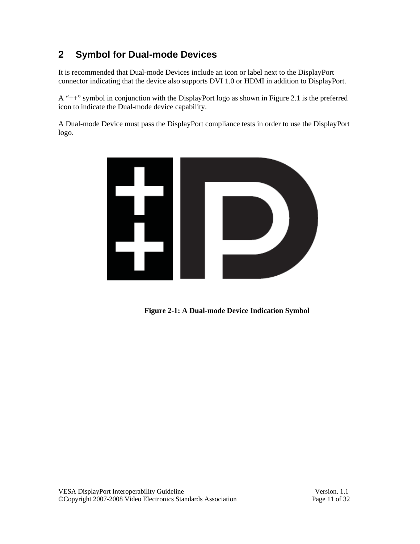# **2 Symbol for Dual-mode Devices**

It is recommended that Dual-mode Devices include an icon or label next to the DisplayPort connector indicating that the device also supports DVI 1.0 or HDMI in addition to DisplayPort.

A "++" symbol in conjunction with the DisplayPort logo as shown in Figure 2.1 is the preferred icon to indicate the Dual-mode device capability.

A Dual-mode Device must pass the DisplayPort compliance tests in order to use the DisplayPort logo.



**Figure 2-1: A Dual-mode Device Indication Symbol**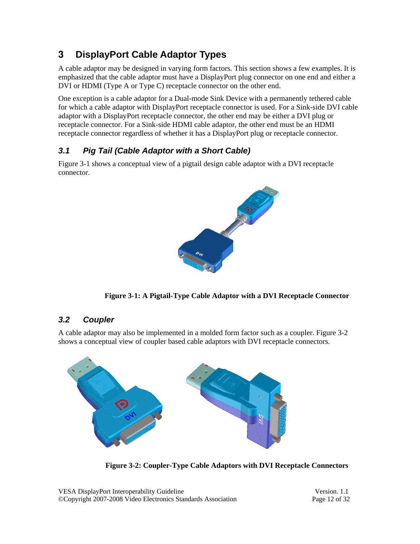# **3 DisplayPort Cable Adaptor Types**

A cable adaptor may be designed in varying form factors. This section shows a few examples. It is emphasized that the cable adaptor must have a DisplayPort plug connector on one end and either a DVI or HDMI (Type A or Type C) receptacle connector on the other end.

One exception is a cable adaptor for a Dual-mode Sink Device with a permanently tethered cable for which a cable adaptor with DisplayPort receptacle connector is used. For a Sink-side DVI cable adaptor with a DisplayPort receptacle connector, the other end may be either a DVI plug or receptacle connector. For a Sink-side HDMI cable adaptor, the other end must be an HDMI receptacle connector regardless of whether it has a DisplayPort plug or receptacle connector.

# *3.1 Pig Tail (Cable Adaptor with a Short Cable)*

Figure 3-1 shows a conceptual view of a pigtail design cable adaptor with a DVI receptacle connector.



**Figure 3-1: A Pigtail-Type Cable Adaptor with a DVI Receptacle Connector** 

## *3.2 Coupler*

A cable adaptor may also be implemented in a molded form factor such as a coupler. Figure 3-2 shows a conceptual view of coupler based cable adaptors with DVI receptacle connectors.



**Figure 3-2: Coupler-Type Cable Adaptors with DVI Receptacle Connectors** 

VESA DisplayPort Interoperability Guideline Version. 1.1 ©Copyright 2007-2008 Video Electronics Standards Association Page 12 of 32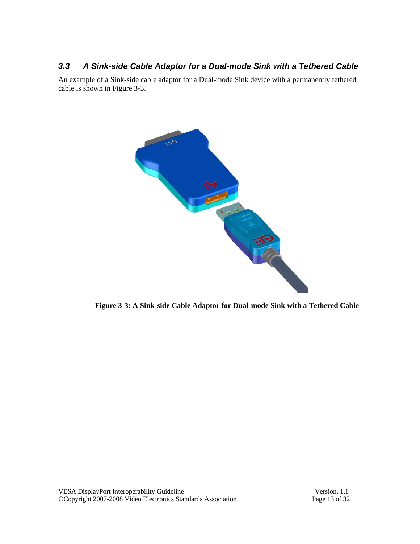## *3.3 A Sink-side Cable Adaptor for a Dual-mode Sink with a Tethered Cable*

An example of a Sink-side cable adaptor for a Dual-mode Sink device with a permanently tethered cable is shown in Figure 3-3.



**Figure 3-3: A Sink-side Cable Adaptor for Dual-mode Sink with a Tethered Cable**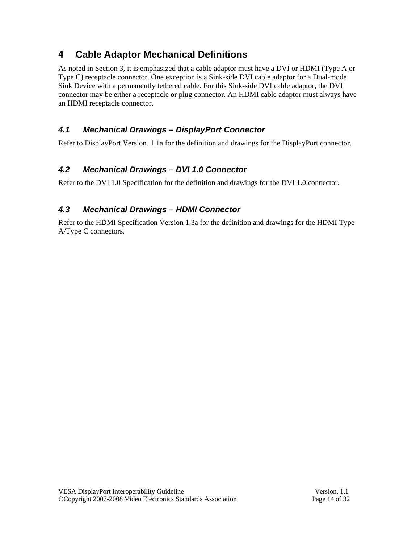# **4 Cable Adaptor Mechanical Definitions**

As noted in Section 3, it is emphasized that a cable adaptor must have a DVI or HDMI (Type A or Type C) receptacle connector. One exception is a Sink-side DVI cable adaptor for a Dual-mode Sink Device with a permanently tethered cable. For this Sink-side DVI cable adaptor, the DVI connector may be either a receptacle or plug connector. An HDMI cable adaptor must always have an HDMI receptacle connector.

# *4.1 Mechanical Drawings – DisplayPort Connector*

Refer to DisplayPort Version. 1.1a for the definition and drawings for the DisplayPort connector.

# *4.2 Mechanical Drawings – DVI 1.0 Connector*

Refer to the DVI 1.0 Specification for the definition and drawings for the DVI 1.0 connector.

# *4.3 Mechanical Drawings – HDMI Connector*

Refer to the HDMI Specification Version 1.3a for the definition and drawings for the HDMI Type A/Type C connectors.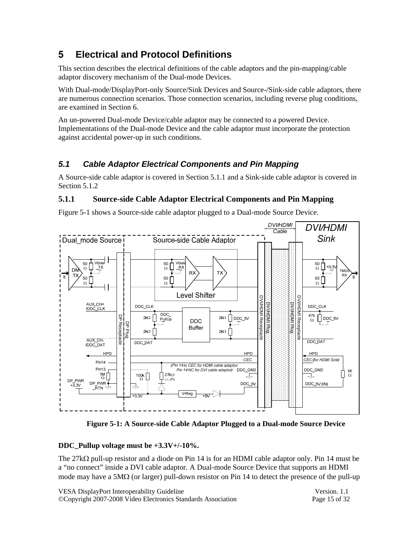# **5 Electrical and Protocol Definitions**

This section describes the electrical definitions of the cable adaptors and the pin-mapping/cable adaptor discovery mechanism of the Dual-mode Devices.

With Dual-mode/DisplayPort-only Source/Sink Devices and Source-/Sink-side cable adaptors, there are numerous connection scenarios. Those connection scenarios, including reverse plug conditions, are examined in Section 6.

An un-powered Dual-mode Device/cable adaptor may be connected to a powered Device. Implementations of the Dual-mode Device and the cable adaptor must incorporate the protection against accidental power-up in such conditions.

# *5.1 Cable Adaptor Electrical Components and Pin Mapping*

A Source-side cable adaptor is covered in Section 5.1.1 and a Sink-side cable adaptor is covered in Section 5.1.2

### **5.1.1 Source-side Cable Adaptor Electrical Components and Pin Mapping**

Figure 5-1 shows a Source-side cable adaptor plugged to a Dual-mode Source Device.



**Figure 5-1: A Source-side Cable Adaptor Plugged to a Dual-mode Source Device** 

#### **DDC\_Pullup voltage must be +3.3V+/-10%.**

The 27kΩ pull-up resistor and a diode on Pin 14 is for an HDMI cable adaptor only. Pin 14 must be a "no connect" inside a DVI cable adaptor. A Dual-mode Source Device that supports an HDMI mode may have a  $5M\Omega$  (or larger) pull-down resistor on Pin 14 to detect the presence of the pull-up

| VESA DisplayPort Interoperability Guideline                  | Version, 1.1  |
|--------------------------------------------------------------|---------------|
| ©Copyright 2007-2008 Video Electronics Standards Association | Page 15 of 32 |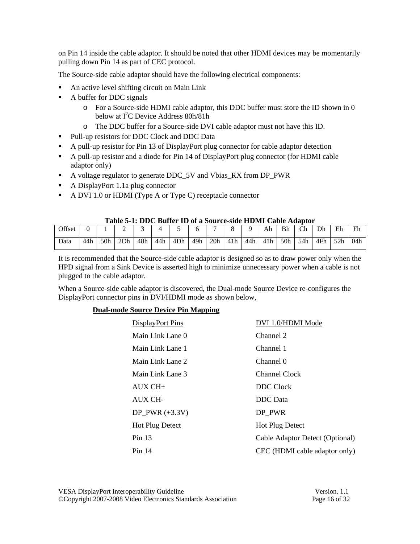on Pin 14 inside the cable adaptor. It should be noted that other HDMI devices may be momentarily pulling down Pin 14 as part of CEC protocol.

The Source-side cable adaptor should have the following electrical components:

- An active level shifting circuit on Main Link
- A buffer for DDC signals
	- o For a Source-side HDMI cable adaptor, this DDC buffer must store the ID shown in 0 below at  $I^2C$  Device Address 80h/81h
	- o The DDC buffer for a Source-side DVI cable adaptor must not have this ID.
- Pull-up resistors for DDC Clock and DDC Data
- A pull-up resistor for Pin 13 of DisplayPort plug connector for cable adaptor detection
- A pull-up resistor and a diode for Pin 14 of DisplayPort plug connector (for HDMI cable adaptor only)
- A voltage regulator to generate DDC\_5V and Vbias\_RX from DP\_PWR
- A DisplayPort 1.1a plug connector
- A DVI 1.0 or HDMI (Type A or Type C) receptacle connector

#### **Table 5-1: DDC Buffer ID of a Source-side HDMI Cable Adaptor**

|        | THURS A THOUGH TO ALL THE COMPANY OF THE CHUIL CHAIR LEADERS |                 |     |     |     |     |     |                          |     |     |     |     |     |     |     |     |
|--------|--------------------------------------------------------------|-----------------|-----|-----|-----|-----|-----|--------------------------|-----|-----|-----|-----|-----|-----|-----|-----|
| Offset |                                                              |                 | ∸   |     |     | -   |     | $\overline{\phantom{0}}$ |     |     | Ah  | Bh  | Ch  | Dh  | Eh  | Fh  |
| Data   | 44h                                                          | 50 <sub>h</sub> | 2Dh | 48h | 44h | 4Dh | 49h | 20h                      | 41h | 44h | 41h | 50h | 54h | 4Fh | 52h | 04h |

It is recommended that the Source-side cable adaptor is designed so as to draw power only when the HPD signal from a Sink Device is asserted high to minimize unnecessary power when a cable is not plugged to the cable adaptor.

When a Source-side cable adaptor is discovered, the Dual-mode Source Device re-configures the DisplayPort connector pins in DVI/HDMI mode as shown below,

#### **Dual-mode Source Device Pin Mapping**

| DisplayPort Pins       | DVI 1.0/HDMI Mode               |
|------------------------|---------------------------------|
| Main Link Lane 0       | Channel 2                       |
| Main Link Lane 1       | Channel 1                       |
| Main Link Lane 2       | Channel 0                       |
| Main Link Lane 3       | Channel Clock                   |
| $AUX CH+$              | <b>DDC</b> Clock                |
| AUX CH-                | <b>DDC</b> Data                 |
| DP PWR $(+3.3V)$       | DP PWR                          |
| <b>Hot Plug Detect</b> | <b>Hot Plug Detect</b>          |
| $Pin$ 13               | Cable Adaptor Detect (Optional) |
| Pin 14                 | CEC (HDMI cable adaptor only)   |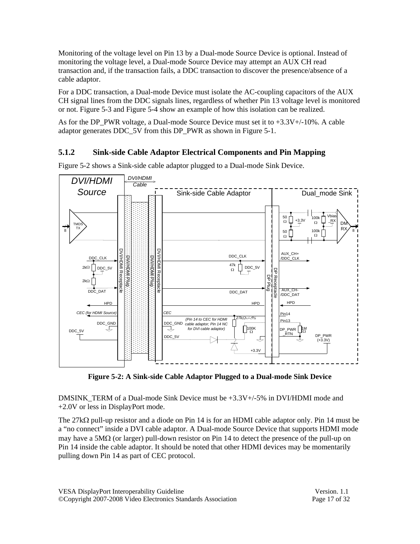Monitoring of the voltage level on Pin 13 by a Dual-mode Source Device is optional. Instead of monitoring the voltage level, a Dual-mode Source Device may attempt an AUX CH read transaction and, if the transaction fails, a DDC transaction to discover the presence/absence of a cable adaptor.

For a DDC transaction, a Dual-mode Device must isolate the AC-coupling capacitors of the AUX CH signal lines from the DDC signals lines, regardless of whether Pin 13 voltage level is monitored or not. Figure 5-3 and Figure 5-4 show an example of how this isolation can be realized.

As for the DP\_PWR voltage, a Dual-mode Source Device must set it to  $+3.3V+/-10%$ . A cable adaptor generates DDC\_5V from this DP\_PWR as shown in Figure 5-1.

### **5.1.2 Sink-side Cable Adaptor Electrical Components and Pin Mapping**



Figure 5-2 shows a Sink-side cable adaptor plugged to a Dual-mode Sink Device.

**Figure 5-2: A Sink-side Cable Adaptor Plugged to a Dual-mode Sink Device** 

DMSINK TERM of a Dual-mode Sink Device must be  $+3.3V<sub>+/-5</sub>%$  in DVI/HDMI mode and +2.0V or less in DisplayPort mode.

The 27kΩ pull-up resistor and a diode on Pin 14 is for an HDMI cable adaptor only. Pin 14 must be a "no connect" inside a DVI cable adaptor. A Dual-mode Source Device that supports HDMI mode may have a 5MΩ (or larger) pull-down resistor on Pin 14 to detect the presence of the pull-up on Pin 14 inside the cable adaptor. It should be noted that other HDMI devices may be momentarily pulling down Pin 14 as part of CEC protocol.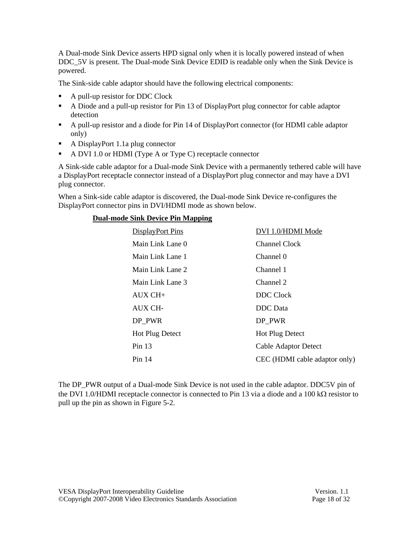A Dual-mode Sink Device asserts HPD signal only when it is locally powered instead of when DDC 5V is present. The Dual-mode Sink Device EDID is readable only when the Sink Device is powered.

The Sink-side cable adaptor should have the following electrical components:

- A pull-up resistor for DDC Clock
- A Diode and a pull-up resistor for Pin 13 of DisplayPort plug connector for cable adaptor detection
- A pull-up resistor and a diode for Pin 14 of DisplayPort connector (for HDMI cable adaptor only)
- A DisplayPort 1.1a plug connector
- A DVI 1.0 or HDMI (Type A or Type C) receptacle connector

A Sink-side cable adaptor for a Dual-mode Sink Device with a permanently tethered cable will have a DisplayPort receptacle connector instead of a DisplayPort plug connector and may have a DVI plug connector.

When a Sink-side cable adaptor is discovered, the Dual-mode Sink Device re-configures the DisplayPort connector pins in DVI/HDMI mode as shown below.

| DisplayPort Pins       | DVI 1.0/HDMI Mode             |
|------------------------|-------------------------------|
| Main Link Lane 0       | <b>Channel Clock</b>          |
| Main Link Lane 1       | Channel 0                     |
| Main Link Lane 2       | Channel 1                     |
| Main Link Lane 3       | Channel 2                     |
| $AUX CH+$              | <b>DDC</b> Clock              |
| AUX CH-                | DDC Data                      |
| DP PWR                 | DP PWR                        |
| <b>Hot Plug Detect</b> | <b>Hot Plug Detect</b>        |
| Pin $13$               | <b>Cable Adaptor Detect</b>   |
| Pin 14                 | CEC (HDMI cable adaptor only) |
|                        |                               |

The DP\_PWR output of a Dual-mode Sink Device is not used in the cable adaptor. DDC5V pin of the DVI 1.0/HDMI receptacle connector is connected to Pin 13 via a diode and a 100 k $\Omega$  resistor to pull up the pin as shown in Figure 5-2.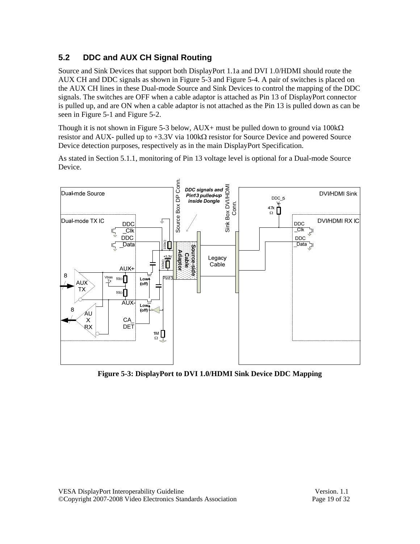# **5.2 DDC and AUX CH Signal Routing**

Source and Sink Devices that support both DisplayPort 1.1a and DVI 1.0/HDMI should route the AUX CH and DDC signals as shown in Figure 5-3 and Figure 5-4. A pair of switches is placed on the AUX CH lines in these Dual-mode Source and Sink Devices to control the mapping of the DDC signals. The switches are OFF when a cable adaptor is attached as Pin 13 of DisplayPort connector is pulled up, and are ON when a cable adaptor is not attached as the Pin 13 is pulled down as can be seen in Figure 5-1 and Figure 5-2.

Though it is not shown in Figure 5-3 below, AUX+ must be pulled down to ground via 100kΩ resistor and AUX- pulled up to +3.3V via 100kΩ resistor for Source Device and powered Source Device detection purposes, respectively as in the main DisplayPort Specification.

As stated in Section 5.1.1, monitoring of Pin 13 voltage level is optional for a Dual-mode Source Device.



**Figure 5-3: DisplayPort to DVI 1.0/HDMI Sink Device DDC Mapping**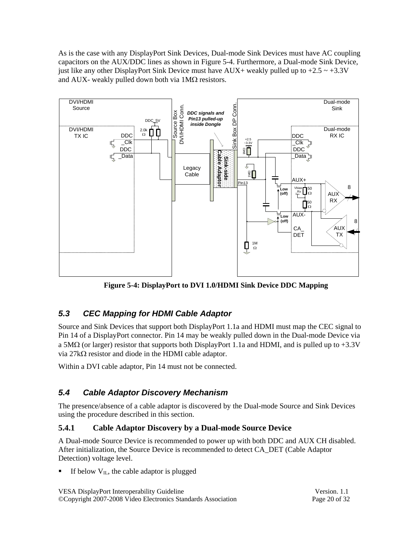As is the case with any DisplayPort Sink Devices, Dual-mode Sink Devices must have AC coupling capacitors on the AUX/DDC lines as shown in Figure 5-4. Furthermore, a Dual-mode Sink Device, just like any other DisplayPort Sink Device must have AUX+ weakly pulled up to  $+2.5 \sim +3.3V$ and AUX- weakly pulled down both via 1MΩ resistors.



**Figure 5-4: DisplayPort to DVI 1.0/HDMI Sink Device DDC Mapping** 

# *5.3 CEC Mapping for HDMI Cable Adaptor*

Source and Sink Devices that support both DisplayPort 1.1a and HDMI must map the CEC signal to Pin 14 of a DisplayPort connector. Pin 14 may be weakly pulled down in the Dual-mode Device via a 5M $\Omega$  (or larger) resistor that supports both DisplayPort 1.1a and HDMI, and is pulled up to +3.3V via 27kΩ resistor and diode in the HDMI cable adaptor.

Within a DVI cable adaptor, Pin 14 must not be connected.

# *5.4 Cable Adaptor Discovery Mechanism*

The presence/absence of a cable adaptor is discovered by the Dual-mode Source and Sink Devices using the procedure described in this section.

### **5.4.1 Cable Adaptor Discovery by a Dual-mode Source Device**

A Dual-mode Source Device is recommended to power up with both DDC and AUX CH disabled. After initialization, the Source Device is recommended to detect CA\_DET (Cable Adaptor Detection) voltage level.

If below  $V_{IL}$ , the cable adaptor is plugged

VESA DisplayPort Interoperability Guideline Version. 1.1 ©Copyright 2007-2008 Video Electronics Standards Association Page 20 of 32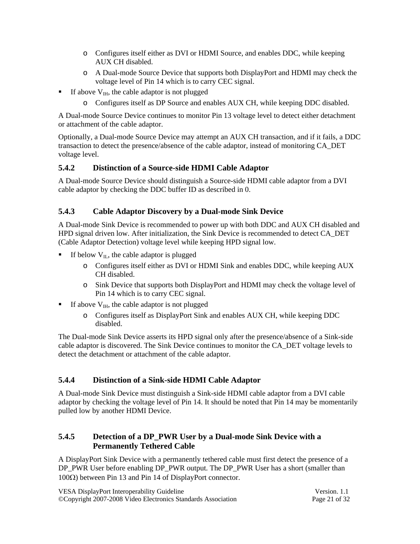- o Configures itself either as DVI or HDMI Source, and enables DDC, while keeping AUX CH disabled.
- o A Dual-mode Source Device that supports both DisplayPort and HDMI may check the voltage level of Pin 14 which is to carry CEC signal.
- If above  $V_{IH}$ , the cable adaptor is not plugged
	- o Configures itself as DP Source and enables AUX CH, while keeping DDC disabled.

A Dual-mode Source Device continues to monitor Pin 13 voltage level to detect either detachment or attachment of the cable adaptor.

Optionally, a Dual-mode Source Device may attempt an AUX CH transaction, and if it fails, a DDC transaction to detect the presence/absence of the cable adaptor, instead of monitoring CA\_DET voltage level.

#### **5.4.2 Distinction of a Source-side HDMI Cable Adaptor**

A Dual-mode Source Device should distinguish a Source-side HDMI cable adaptor from a DVI cable adaptor by checking the DDC buffer ID as described in 0.

#### **5.4.3 Cable Adaptor Discovery by a Dual-mode Sink Device**

A Dual-mode Sink Device is recommended to power up with both DDC and AUX CH disabled and HPD signal driven low. After initialization, the Sink Device is recommended to detect CA\_DET (Cable Adaptor Detection) voltage level while keeping HPD signal low.

- If below  $V_{IL}$ , the cable adaptor is plugged
	- o Configures itself either as DVI or HDMI Sink and enables DDC, while keeping AUX CH disabled.
	- o Sink Device that supports both DisplayPort and HDMI may check the voltage level of Pin 14 which is to carry CEC signal.
- If above  $V_{\text{IH}}$ , the cable adaptor is not plugged
	- o Configures itself as DisplayPort Sink and enables AUX CH, while keeping DDC disabled.

The Dual-mode Sink Device asserts its HPD signal only after the presence/absence of a Sink-side cable adaptor is discovered. The Sink Device continues to monitor the CA\_DET voltage levels to detect the detachment or attachment of the cable adaptor.

#### **5.4.4 Distinction of a Sink-side HDMI Cable Adaptor**

A Dual-mode Sink Device must distinguish a Sink-side HDMI cable adaptor from a DVI cable adaptor by checking the voltage level of Pin 14. It should be noted that Pin 14 may be momentarily pulled low by another HDMI Device.

### **5.4.5 Detection of a DP\_PWR User by a Dual-mode Sink Device with a Permanently Tethered Cable**

A DisplayPort Sink Device with a permanently tethered cable must first detect the presence of a DP\_PWR User before enabling DP\_PWR output. The DP\_PWR User has a short (smaller than 100Ω) between Pin 13 and Pin 14 of DisplayPort connector.

| VESA DisplayPort Interoperability Guideline                  | Version, 1.1  |
|--------------------------------------------------------------|---------------|
| ©Copyright 2007-2008 Video Electronics Standards Association | Page 21 of 32 |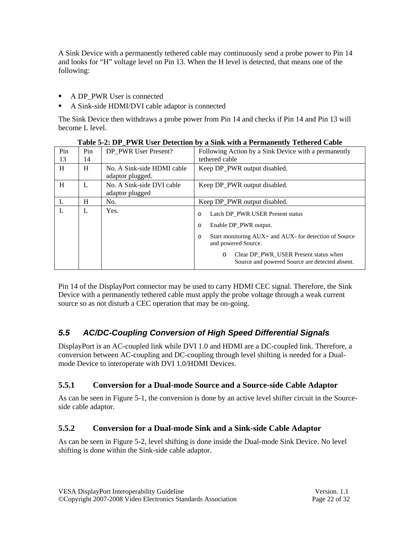A Sink Device with a permanently tethered cable may continuously send a probe power to Pin 14 and looks for "H" voltage level on Pin 13. When the H level is detected, that means one of the following:

- A DP\_PWR User is connected
- A Sink-side HDMI/DVI cable adaptor is connected

The Sink Device then withdraws a probe power from Pin 14 and checks if Pin 14 and Pin 13 will become L level.

| Pin<br>13 | Pin<br>14 | DP PWR User Present?                           | Following Action by a Sink Device with a permanently<br>tethered cable                                                                                                                                                                                                              |
|-----------|-----------|------------------------------------------------|-------------------------------------------------------------------------------------------------------------------------------------------------------------------------------------------------------------------------------------------------------------------------------------|
| H         | H         | No. A Sink-side HDMI cable<br>adaptor plugged. | Keep DP_PWR output disabled.                                                                                                                                                                                                                                                        |
| H         | L         | No. A Sink-side DVI cable<br>adaptor plugged   | Keep DP PWR output disabled.                                                                                                                                                                                                                                                        |
| L         | H         | No.                                            | Keep DP PWR output disabled.                                                                                                                                                                                                                                                        |
| L         | L         | Yes.                                           | Latch DP PWR USER Present status<br>$\Omega$<br>Enable DP_PWR output.<br>$\Omega$<br>Start monitoring AUX+ and AUX- for detection of Source<br>$\circ$<br>and powered Source.<br>Clear DP_PWR_USER Present status when<br>$\circ$<br>Source and powered Source are detected absent. |

**Table 5-2: DP\_PWR User Detection by a Sink with a Permanently Tethered Cable** 

Pin 14 of the DisplayPort connector may be used to carry HDMI CEC signal. Therefore, the Sink Device with a permanently tethered cable must apply the probe voltage through a weak current source so as not disturb a CEC operation that may be on-going.

# *5.5 AC/DC-Coupling Conversion of High Speed Differential Signals*

DisplayPort is an AC-coupled link while DVI 1.0 and HDMI are a DC-coupled link. Therefore, a conversion between AC-coupling and DC-coupling through level shifting is needed for a Dualmode Device to interoperate with DVI 1.0/HDMI Devices.

### **5.5.1 Conversion for a Dual-mode Source and a Source-side Cable Adaptor**

As can be seen in Figure 5-1, the conversion is done by an active level shifter circuit in the Sourceside cable adaptor.

### **5.5.2 Conversion for a Dual-mode Sink and a Sink-side Cable Adaptor**

As can be seen in Figure 5-2, level shifting is done inside the Dual-mode Sink Device. No level shifting is done within the Sink-side cable adaptor.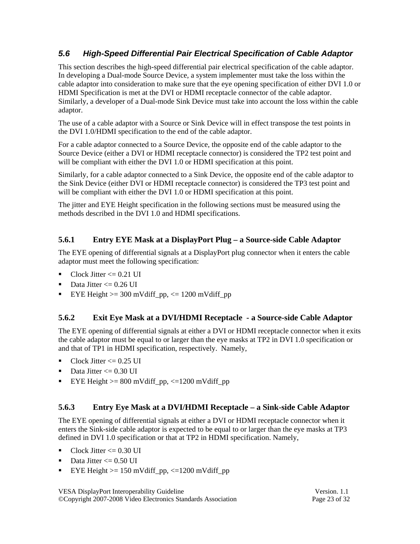# *5.6 High-Speed Differential Pair Electrical Specification of Cable Adaptor*

This section describes the high-speed differential pair electrical specification of the cable adaptor. In developing a Dual-mode Source Device, a system implementer must take the loss within the cable adaptor into consideration to make sure that the eye opening specification of either DVI 1.0 or HDMI Specification is met at the DVI or HDMI receptacle connector of the cable adaptor. Similarly, a developer of a Dual-mode Sink Device must take into account the loss within the cable adaptor.

The use of a cable adaptor with a Source or Sink Device will in effect transpose the test points in the DVI 1.0/HDMI specification to the end of the cable adaptor.

For a cable adaptor connected to a Source Device, the opposite end of the cable adaptor to the Source Device (either a DVI or HDMI receptacle connector) is considered the TP2 test point and will be compliant with either the DVI 1.0 or HDMI specification at this point.

Similarly, for a cable adaptor connected to a Sink Device, the opposite end of the cable adaptor to the Sink Device (either DVI or HDMI receptacle connector) is considered the TP3 test point and will be compliant with either the DVI 1.0 or HDMI specification at this point.

The jitter and EYE Height specification in the following sections must be measured using the methods described in the DVI 1.0 and HDMI specifications.

### **5.6.1 Entry EYE Mask at a DisplayPort Plug – a Source-side Cable Adaptor**

The EYE opening of differential signals at a DisplayPort plug connector when it enters the cable adaptor must meet the following specification:

- $\blacksquare$  Clock Jitter  $\leq 0.21$  UI
- $\blacksquare$  Data Jitter <= 0.26 UI
- EYE Height  $>=$  300 mVdiff\_pp,  $<=$  1200 mVdiff\_pp

### **5.6.2 Exit Eye Mask at a DVI/HDMI Receptacle - a Source-side Cable Adaptor**

The EYE opening of differential signals at either a DVI or HDMI receptacle connector when it exits the cable adaptor must be equal to or larger than the eye masks at TP2 in DVI 1.0 specification or and that of TP1 in HDMI specification, respectively. Namely,

- $Clock$  Jitter  $\leq 0.25$  UI
- $\blacksquare$  Data Jitter <= 0.30 UI
- EYE Height  $>= 800$  mVdiff\_pp,  $<= 1200$  mVdiff\_pp

### **5.6.3 Entry Eye Mask at a DVI/HDMI Receptacle – a Sink-side Cable Adaptor**

The EYE opening of differential signals at either a DVI or HDMI receptacle connector when it enters the Sink-side cable adaptor is expected to be equal to or larger than the eye masks at TP3 defined in DVI 1.0 specification or that at TP2 in HDMI specification. Namely,

- Clock Jitter  $\leq$  0.30 UI
- $\blacksquare$  Data Jitter <= 0.50 UI
- EYE Height  $> = 150$  mVdiff\_pp,  $\lt$ =1200 mVdiff\_pp

VESA DisplayPort Interoperability Guideline Version. 1.1 ©Copyright 2007-2008 Video Electronics Standards Association Page 23 of 32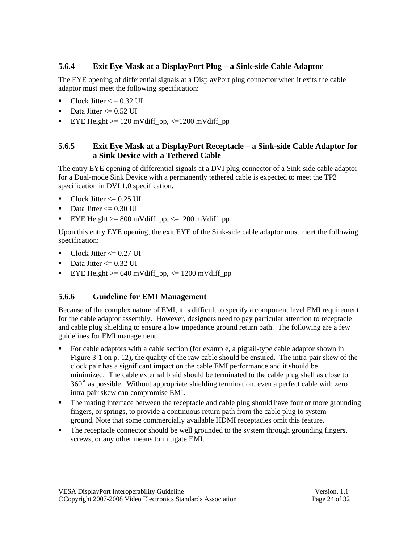## **5.6.4 Exit Eye Mask at a DisplayPort Plug – a Sink-side Cable Adaptor**

The EYE opening of differential signals at a DisplayPort plug connector when it exits the cable adaptor must meet the following specification:

- Clock Jitter  $\epsilon$  = 0.32 UI
- $\blacksquare$  Data Jitter <= 0.52 UI
- EYE Height  $>= 120$  mVdiff pp,  $<=1200$  mVdiff pp

### **5.6.5 Exit Eye Mask at a DisplayPort Receptacle – a Sink-side Cable Adaptor for a Sink Device with a Tethered Cable**

The entry EYE opening of differential signals at a DVI plug connector of a Sink-side cable adaptor for a Dual-mode Sink Device with a permanently tethered cable is expected to meet the TP2 specification in DVI 1.0 specification.

- $\blacksquare$  Clock Jitter  $\leq$  0.25 UI
- Data Jitter  $\leq$  0.30 UI
- EYE Height  $>= 800$  mVdiff\_pp,  $<= 1200$  mVdiff\_pp

Upon this entry EYE opening, the exit EYE of the Sink-side cable adaptor must meet the following specification:

- $\blacksquare$  Clock Jitter <= 0.27 UI
- Data Jitter  $\leq$  0.32 UI
- EYE Height  $>= 640$  mVdiff\_pp,  $<= 1200$  mVdiff\_pp

## **5.6.6 Guideline for EMI Management**

Because of the complex nature of EMI, it is difficult to specify a component level EMI requirement for the cable adaptor assembly. However, designers need to pay particular attention to receptacle and cable plug shielding to ensure a low impedance ground return path. The following are a few guidelines for EMI management:

- For cable adaptors with a cable section (for example, a pigtail-type cable adaptor shown in Figure 3-1 on p. 12), the quality of the raw cable should be ensured. The intra-pair skew of the clock pair has a significant impact on the cable EMI performance and it should be minimized. The cable external braid should be terminated to the cable plug shell as close to 360˚ as possible. Without appropriate shielding termination, even a perfect cable with zero intra-pair skew can compromise EMI.
- The mating interface between the receptacle and cable plug should have four or more grounding fingers, or springs, to provide a continuous return path from the cable plug to system ground. Note that some commercially available HDMI receptacles omit this feature.
- The receptacle connector should be well grounded to the system through grounding fingers, screws, or any other means to mitigate EMI.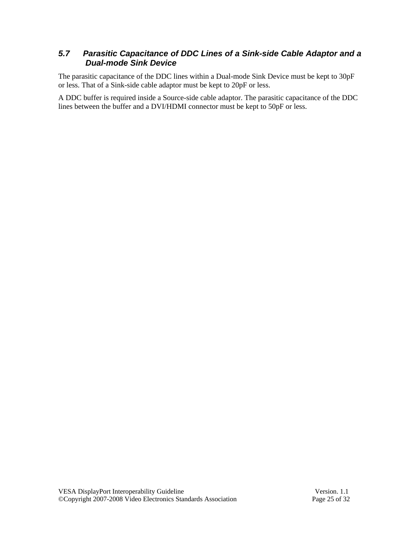## *5.7 Parasitic Capacitance of DDC Lines of a Sink-side Cable Adaptor and a Dual-mode Sink Device*

The parasitic capacitance of the DDC lines within a Dual-mode Sink Device must be kept to 30pF or less. That of a Sink-side cable adaptor must be kept to 20pF or less.

A DDC buffer is required inside a Source-side cable adaptor. The parasitic capacitance of the DDC lines between the buffer and a DVI/HDMI connector must be kept to 50pF or less.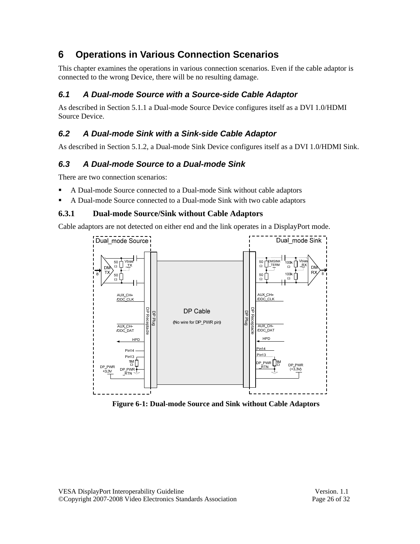# **6 Operations in Various Connection Scenarios**

This chapter examines the operations in various connection scenarios. Even if the cable adaptor is connected to the wrong Device, there will be no resulting damage.

# *6.1 A Dual-mode Source with a Source-side Cable Adaptor*

As described in Section 5.1.1 a Dual-mode Source Device configures itself as a DVI 1.0/HDMI Source Device.

# *6.2 A Dual-mode Sink with a Sink-side Cable Adaptor*

As described in Section 5.1.2, a Dual-mode Sink Device configures itself as a DVI 1.0/HDMI Sink.

# *6.3 A Dual-mode Source to a Dual-mode Sink*

There are two connection scenarios:

- A Dual-mode Source connected to a Dual-mode Sink without cable adaptors
- A Dual-mode Source connected to a Dual-mode Sink with two cable adaptors

# **6.3.1 Dual-mode Source/Sink without Cable Adaptors**

Cable adaptors are not detected on either end and the link operates in a DisplayPort mode.



**Figure 6-1: Dual-mode Source and Sink without Cable Adaptors**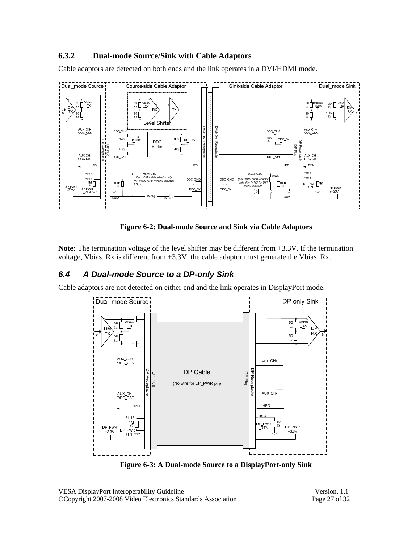## **6.3.2 Dual-mode Source/Sink with Cable Adaptors**

Cable adaptors are detected on both ends and the link operates in a DVI/HDMI mode.



**Figure 6-2: Dual-mode Source and Sink via Cable Adaptors** 

**Note:** The termination voltage of the level shifter may be different from +3.3V. If the termination voltage, Vbias\_Rx is different from +3.3V, the cable adaptor must generate the Vbias\_Rx.

## *6.4 A Dual-mode Source to a DP-only Sink*

Cable adaptors are not detected on either end and the link operates in DisplayPort mode.



**Figure 6-3: A Dual-mode Source to a DisplayPort-only Sink**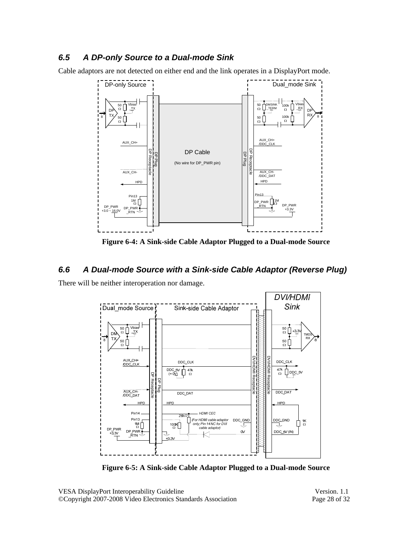## *6.5 A DP-only Source to a Dual-mode Sink*

Cable adaptors are not detected on either end and the link operates in a DisplayPort mode.



**Figure 6-4: A Sink-side Cable Adaptor Plugged to a Dual-mode Source** 

### *6.6 A Dual-mode Source with a Sink-side Cable Adaptor (Reverse Plug)*

There will be neither interoperation nor damage.



**Figure 6-5: A Sink-side Cable Adaptor Plugged to a Dual-mode Source**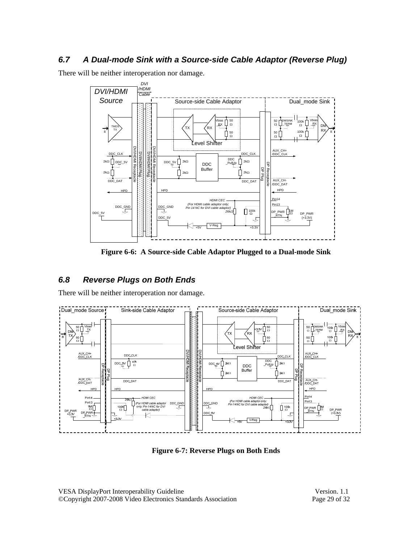### *6.7 A Dual-mode Sink with a Source-side Cable Adaptor (Reverse Plug)*

There will be neither interoperation nor damage.



**Figure 6-6: A Source-side Cable Adaptor Plugged to a Dual-mode Sink** 

### *6.8 Reverse Plugs on Both Ends*

There will be neither interoperation nor damage.



**Figure 6-7: Reverse Plugs on Both Ends** 

VESA DisplayPort Interoperability Guideline Version. 1.1 ©Copyright 2007-2008 Video Electronics Standards Association Page 29 of 32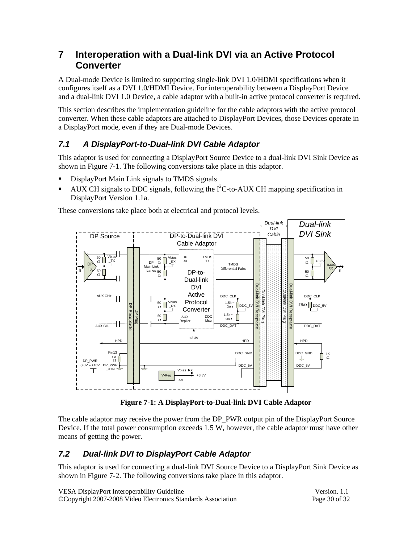# **7 Interoperation with a Dual-link DVI via an Active Protocol Converter**

A Dual-mode Device is limited to supporting single-link DVI 1.0/HDMI specifications when it configures itself as a DVI 1.0/HDMI Device. For interoperability between a DisplayPort Device and a dual-link DVI 1.0 Device, a cable adaptor with a built-in active protocol converter is required.

This section describes the implementation guideline for the cable adaptors with the active protocol converter. When these cable adaptors are attached to DisplayPort Devices, those Devices operate in a DisplayPort mode, even if they are Dual-mode Devices.

# *7.1 A DisplayPort-to-Dual-link DVI Cable Adaptor*

This adaptor is used for connecting a DisplayPort Source Device to a dual-link DVI Sink Device as shown in Figure 7-1. The following conversions take place in this adaptor.

- DisplayPort Main Link signals to TMDS signals
- $\blacksquare$  AUX CH signals to DDC signals, following the I<sup>2</sup>C-to-AUX CH mapping specification in DisplayPort Version 1.1a.

These conversions take place both at electrical and protocol levels.



**Figure 7-1: A DisplayPort-to-Dual-link DVI Cable Adaptor** 

The cable adaptor may receive the power from the DP\_PWR output pin of the DisplayPort Source Device. If the total power consumption exceeds 1.5 W, however, the cable adaptor must have other means of getting the power.

## *7.2 Dual-link DVI to DisplayPort Cable Adaptor*

This adaptor is used for connecting a dual-link DVI Source Device to a DisplayPort Sink Device as shown in Figure 7-2. The following conversions take place in this adaptor.

| VESA DisplayPort Interoperability Guideline                  | Version, 1.1  |
|--------------------------------------------------------------|---------------|
| ©Copyright 2007-2008 Video Electronics Standards Association | Page 30 of 32 |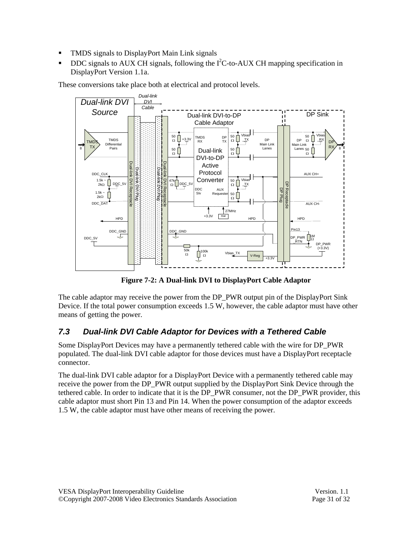- TMDS signals to DisplayPort Main Link signals
- DDC signals to AUX CH signals, following the  $I<sup>2</sup>C$ -to-AUX CH mapping specification in DisplayPort Version 1.1a.

These conversions take place both at electrical and protocol levels.



**Figure 7-2: A Dual-link DVI to DisplayPort Cable Adaptor** 

The cable adaptor may receive the power from the DP\_PWR output pin of the DisplayPort Sink Device. If the total power consumption exceeds 1.5 W, however, the cable adaptor must have other means of getting the power.

## *7.3 Dual-link DVI Cable Adaptor for Devices with a Tethered Cable*

Some DisplayPort Devices may have a permanently tethered cable with the wire for DP\_PWR populated. The dual-link DVI cable adaptor for those devices must have a DisplayPort receptacle connector.

The dual-link DVI cable adaptor for a DisplayPort Device with a permanently tethered cable may receive the power from the DP\_PWR output supplied by the DisplayPort Sink Device through the tethered cable. In order to indicate that it is the DP\_PWR consumer, not the DP\_PWR provider, this cable adaptor must short Pin 13 and Pin 14. When the power consumption of the adaptor exceeds 1.5 W, the cable adaptor must have other means of receiving the power.